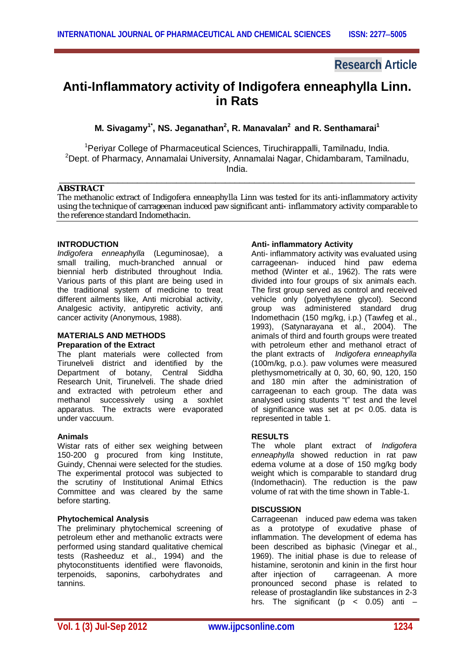# **Research Article**

# **Anti-Inflammatory activity of Indigofera enneaphylla Linn. in Rats**

**M. Sivagamy1\*, NS. Jeganathan<sup>2</sup> , R. Manavalan<sup>2</sup> and R. Senthamarai<sup>1</sup>**

<sup>1</sup>Periyar College of Pharmaceutical Sciences, Tiruchirappalli, Tamilnadu, India. <sup>2</sup>Dept. of Pharmacy, Annamalai University, Annamalai Nagar, Chidambaram, Tamilnadu, India.

\_\_\_\_\_\_\_\_\_\_\_\_\_\_\_\_\_\_\_\_\_\_\_\_\_\_\_\_\_\_\_\_\_\_\_\_\_\_\_\_\_\_\_\_\_\_\_\_\_\_\_\_\_\_\_\_\_\_\_\_\_\_\_\_\_\_\_\_\_\_\_\_\_

## **ABSTRACT**

The methanolic extract of *Indigofera enneaphylla* Linn was tested for its anti-inflammatory activity using the technique of carrageenan induced paw significant anti- inflammatory activity comparable to the reference standard Indomethacin.

## **INTRODUCTION**

*Indigofera enneaphylla* (Leguminosae), a small trailing, much-branched annual or biennial herb distributed throughout India. Various parts of this plant are being used in the traditional system of medicine to treat different ailments like, Anti microbial activity, Analgesic activity, antipyretic activity, anti cancer activity (Anonymous, 1988).

#### **MATERIALS AND METHODS Preparation of the Extract**

The plant materials were collected from Tirunelveli district and identified by the Department of botany, Central Siddha Research Unit, Tirunelveli. The shade dried and extracted with petroleum ether and methanol successively using a soxhlet apparatus. The extracts were evaporated under vaccuum.

### **Animals**

Wistar rats of either sex weighing between 150-200 g procured from king Institute, Guindy, Chennai were selected for the studies. The experimental protocol was subjected to the scrutiny of Institutional Animal Ethics Committee and was cleared by the same before starting.

## **Phytochemical Analysis**

The preliminary phytochemical screening of petroleum ether and methanolic extracts were performed using standard qualitative chemical tests (Rasheeduz et al., 1994) and the phytoconstituents identified were flavonoids, terpenoids, saponins, carbohydrates and tannins.

## **Anti- inflammatory Activity**

Anti- inflammatory activity was evaluated using carrageenan- induced hind paw edema method (Winter et al., 1962). The rats were divided into four groups of six animals each. The first group served as control and received vehicle only (polyethylene glycol). Second group was administered standard drug Indomethacin (150 mg/kg, i.p.) (Tawfeg et al., 1993), (Satynarayana et al., 2004). The animals of third and fourth groups were treated with petroleum ether and methanol etract of the plant extracts of *Indigofera enneaphylla* (100m/kg, p.o.). paw volumes were measured plethysmometrically at 0, 30, 60, 90, 120, 150 and 180 min after the administration of carrageenan to each group. The data was analysed using students "t" test and the level of significance was set at p< 0.05. data is represented in table 1.

### **RESULTS**

The whole plant extract of *Indigofera enneaphylla* showed reduction in rat paw edema volume at a dose of 150 mg/kg body weight which is comparable to standard drug (Indomethacin). The reduction is the paw volume of rat with the time shown in Table-1.

## **DISCUSSION**

Carrageenan induced paw edema was taken as a prototype of exudative phase of inflammation. The development of edema has been described as biphasic (Vinegar et al., 1969). The initial phase is due to release of histamine, serotonin and kinin in the first hour<br>after injection of carrageenan. A more carrageenan. A more pronounced second phase is related to release of prostaglandin like substances in 2-3 hrs. The significant ( $p \le 0.05$ ) anti –